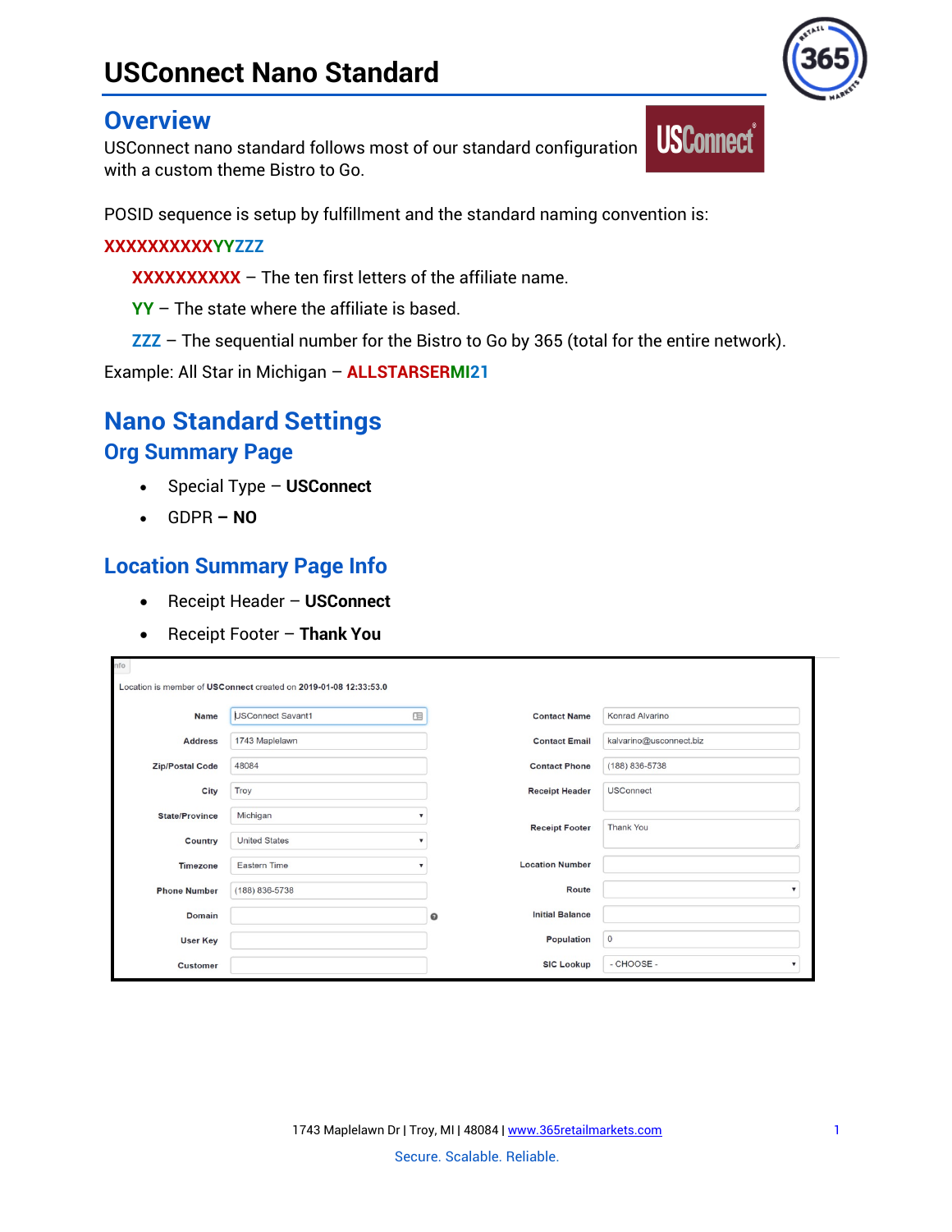# **USConnect Nano Standard**

## **Overview**

USConnect nano standard follows most of our standard configuration with a custom theme Bistro to Go.

POSID sequence is setup by fulfillment and the standard naming convention is:

#### **XXXXXXXXXXYYZZZ**

**XXXXXXXXXX** – The ten first letters of the affiliate name.

**YY** – The state where the affiliate is based.

**ZZZ** – The sequential number for the Bistro to Go by 365 (total for the entire network).

**USConnect**®

Example: All Star in Michigan – **ALLSTARSERMI21**

# **Nano Standard Settings Org Summary Page**

- Special Type **USConnect**
- GDPR **– NO**

# **Location Summary Page Info**

- Receipt Header **USConnect**
- Receipt Footer **Thank You**

| nfo                    | Location is member of USConnect created on 2019-01-08 12:33:53.0 |   |                        |                                         |
|------------------------|------------------------------------------------------------------|---|------------------------|-----------------------------------------|
| <b>Name</b>            | <b>USConnect Savant1</b>                                         | 咀 | <b>Contact Name</b>    | Konrad Alvarino                         |
| <b>Address</b>         | 1743 Maplelawn                                                   |   | <b>Contact Email</b>   | kalvarino@usconnect.biz                 |
| <b>Zip/Postal Code</b> | 48084                                                            |   | <b>Contact Phone</b>   | (188) 836-5738                          |
| City                   | Troy                                                             |   | <b>Receipt Header</b>  | <b>USConnect</b>                        |
| <b>State/Province</b>  | Michigan                                                         |   |                        | <b>Thank You</b>                        |
| Country                | <b>United States</b>                                             |   | <b>Receipt Footer</b>  |                                         |
| <b>Timezone</b>        | Eastern Time                                                     |   | <b>Location Number</b> |                                         |
| <b>Phone Number</b>    | (188) 836-5738                                                   |   | Route                  | $\boldsymbol{\mathrm{v}}$               |
| <b>Domain</b>          |                                                                  | ๏ | <b>Initial Balance</b> |                                         |
| <b>User Key</b>        |                                                                  |   | Population             | $\circ$                                 |
| <b>Customer</b>        |                                                                  |   | <b>SIC Lookup</b>      | - CHOOSE -<br>$\boldsymbol{\mathrm{v}}$ |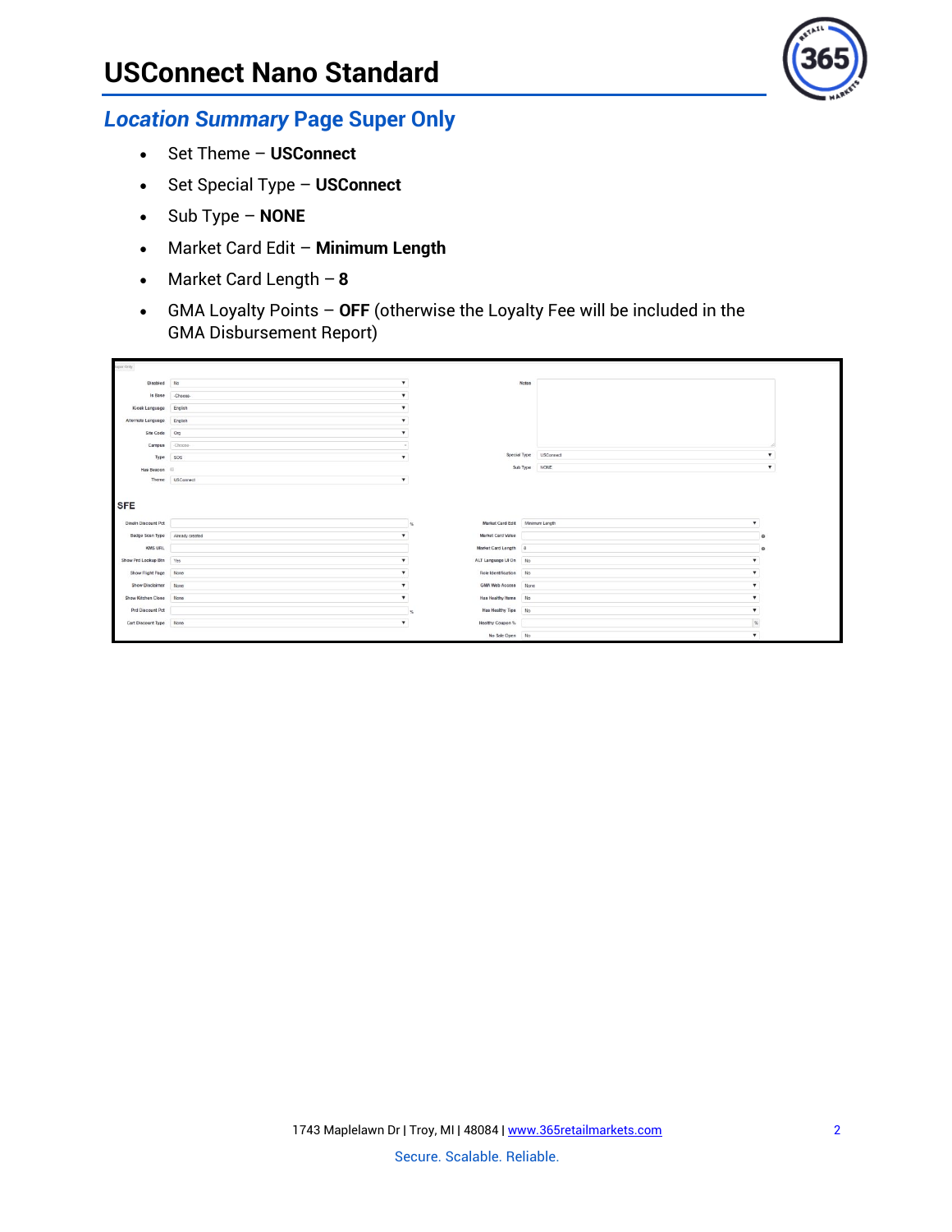

#### *Location Summary* **Page Super Only**

- Set Theme **USConnect**
- Set Special Type **USConnect**
- Sub Type **NONE**
- Market Card Edit **Minimum Length**
- Market Card Length **8**
- GMA Loyalty Points **OFF** (otherwise the Loyalty Fee will be included in the GMA Disbursement Report)

| uper Only                                                                                            |                 |              |                                 |                        |              |
|------------------------------------------------------------------------------------------------------|-----------------|--------------|---------------------------------|------------------------|--------------|
| Disabled No                                                                                          |                 |              | <b>Notes</b>                    |                        |              |
| Is Base Choose.                                                                                      |                 |              |                                 |                        |              |
| Kiosk Language English                                                                               |                 |              |                                 |                        |              |
| Alternate Language English                                                                           |                 |              |                                 |                        |              |
| Site Code Org                                                                                        |                 |              |                                 |                        |              |
| Campus Choose-                                                                                       |                 |              |                                 |                        |              |
| Type SOS                                                                                             |                 |              |                                 | Special Type USConnect |              |
| Has Beacon                                                                                           |                 |              |                                 | Sub Type NONE          |              |
|                                                                                                      |                 |              |                                 |                        |              |
| <b>SFE</b>                                                                                           | Theme USConnect | $\mathbf{v}$ |                                 |                        |              |
|                                                                                                      |                 |              | Market Card Edit Minimum Length |                        | $\mathbf{v}$ |
| Badge Scan Type                                                                                      | Already created |              | Market Card Value               |                        | $\Omega$     |
| <b>KMS URL</b>                                                                                       |                 |              | Market Card Length 8            |                        | o            |
|                                                                                                      |                 |              | ALT Language UI On No           |                        |              |
| Show Flight Page None                                                                                |                 |              | Role Identification No          |                        |              |
| Show Disclaimer None                                                                                 |                 |              | GMA Web Access None             |                        |              |
|                                                                                                      |                 |              | Has Healthy Items No            |                        |              |
| Prd Discount Pct                                                                                     |                 |              | Has Healthy Tips No             |                        | $\mathbf{v}$ |
| Dineln Discount Pct<br>Show Prd Lookup Btn Yes<br>Show Kitchen Close None<br>Cart Discount Type None |                 |              | Healthy Coupon %                |                        | SL           |